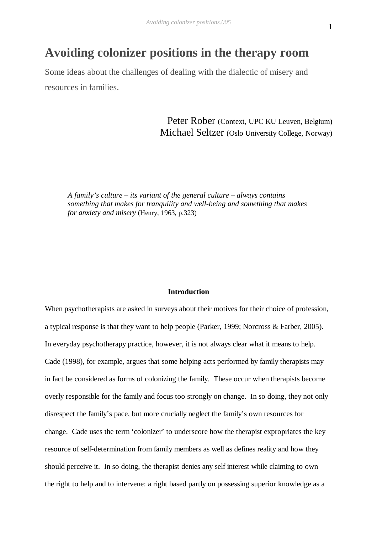# **Avoiding colonizer positions in the therapy room**

Some ideas about the challenges of dealing with the dialectic of misery and resources in families.

> Peter Rober (Context, UPC KU Leuven, Belgium) Michael Seltzer (Oslo University College, Norway)

*A family's culture – its variant of the general culture – always contains something that makes for tranquility and well-being and something that makes for anxiety and misery* (Henry, 1963, p.323)

#### **Introduction**

When psychotherapists are asked in surveys about their motives for their choice of profession, a typical response is that they want to help people (Parker, 1999; Norcross & Farber, 2005). In everyday psychotherapy practice, however, it is not always clear what it means to help. Cade (1998), for example, argues that some helping acts performed by family therapists may in fact be considered as forms of colonizing the family. These occur when therapists become overly responsible for the family and focus too strongly on change. In so doing, they not only disrespect the family's pace, but more crucially neglect the family's own resources for change. Cade uses the term 'colonizer' to underscore how the therapist expropriates the key resource of self-determination from family members as well as defines reality and how they should perceive it. In so doing, the therapist denies any self interest while claiming to own the right to help and to intervene: a right based partly on possessing superior knowledge as a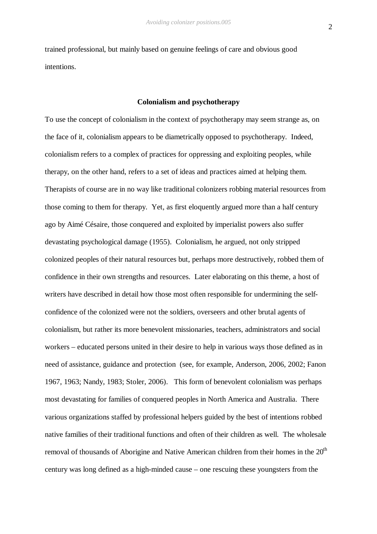trained professional, but mainly based on genuine feelings of care and obvious good intentions.

## **Colonialism and psychotherapy**

To use the concept of colonialism in the context of psychotherapy may seem strange as, on the face of it, colonialism appears to be diametrically opposed to psychotherapy. Indeed, colonialism refers to a complex of practices for oppressing and exploiting peoples, while therapy, on the other hand, refers to a set of ideas and practices aimed at helping them. Therapists of course are in no way like traditional colonizers robbing material resources from those coming to them for therapy. Yet, as first eloquently argued more than a half century ago by Aimé Césaire, those conquered and exploited by imperialist powers also suffer devastating psychological damage (1955). Colonialism, he argued, not only stripped colonized peoples of their natural resources but, perhaps more destructively, robbed them of confidence in their own strengths and resources. Later elaborating on this theme, a host of writers have described in detail how those most often responsible for undermining the selfconfidence of the colonized were not the soldiers, overseers and other brutal agents of colonialism, but rather its more benevolent missionaries, teachers, administrators and social workers – educated persons united in their desire to help in various ways those defined as in need of assistance, guidance and protection (see, for example, Anderson, 2006, 2002; Fanon 1967, 1963; Nandy, 1983; Stoler, 2006). This form of benevolent colonialism was perhaps most devastating for families of conquered peoples in North America and Australia. There various organizations staffed by professional helpers guided by the best of intentions robbed native families of their traditional functions and often of their children as well. The wholesale removal of thousands of Aborigine and Native American children from their homes in the  $20<sup>th</sup>$ century was long defined as a high-minded cause – one rescuing these youngsters from the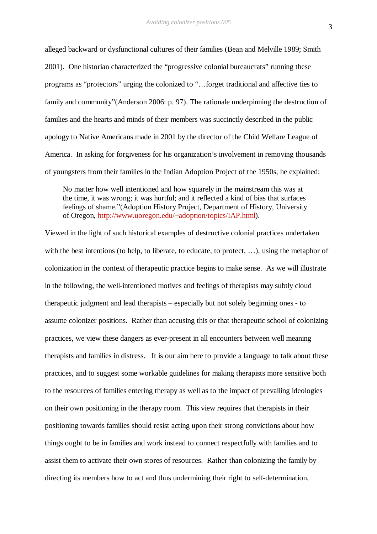alleged backward or dysfunctional cultures of their families (Bean and Melville 1989; Smith 2001). One historian characterized the "progressive colonial bureaucrats" running these programs as "protectors" urging the colonized to "…forget traditional and affective ties to family and community"(Anderson 2006: p. 97). The rationale underpinning the destruction of families and the hearts and minds of their members was succinctly described in the public apology to Native Americans made in 2001 by the director of the Child Welfare League of America. In asking for forgiveness for his organization's involvement in removing thousands of youngsters from their families in the Indian Adoption Project of the 1950s, he explained:

No matter how well intentioned and how squarely in the mainstream this was at the time, it was wrong; it was hurtful; and it reflected a kind of bias that surfaces feelings of shame."(Adoption History Project, Department of History, University of Oregon, http://www.uoregon.edu/~adoption/topics/IAP.html).

Viewed in the light of such historical examples of destructive colonial practices undertaken with the best intentions (to help, to liberate, to educate, to protect, ...), using the metaphor of colonization in the context of therapeutic practice begins to make sense. As we will illustrate in the following, the well-intentioned motives and feelings of therapists may subtly cloud therapeutic judgment and lead therapists – especially but not solely beginning ones - to assume colonizer positions. Rather than accusing this or that therapeutic school of colonizing practices, we view these dangers as ever-present in all encounters between well meaning therapists and families in distress. It is our aim here to provide a language to talk about these practices, and to suggest some workable guidelines for making therapists more sensitive both to the resources of families entering therapy as well as to the impact of prevailing ideologies on their own positioning in the therapy room. This view requires that therapists in their positioning towards families should resist acting upon their strong convictions about how things ought to be in families and work instead to connect respectfully with families and to assist them to activate their own stores of resources. Rather than colonizing the family by directing its members how to act and thus undermining their right to self-determination,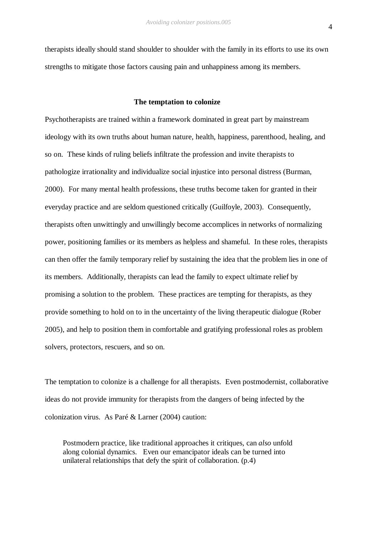therapists ideally should stand shoulder to shoulder with the family in its efforts to use its own strengths to mitigate those factors causing pain and unhappiness among its members.

#### **The temptation to colonize**

Psychotherapists are trained within a framework dominated in great part by mainstream ideology with its own truths about human nature, health, happiness, parenthood, healing, and so on. These kinds of ruling beliefs infiltrate the profession and invite therapists to pathologize irrationality and individualize social injustice into personal distress (Burman, 2000). For many mental health professions, these truths become taken for granted in their everyday practice and are seldom questioned critically (Guilfoyle, 2003). Consequently, therapists often unwittingly and unwillingly become accomplices in networks of normalizing power, positioning families or its members as helpless and shameful. In these roles, therapists can then offer the family temporary relief by sustaining the idea that the problem lies in one of its members. Additionally, therapists can lead the family to expect ultimate relief by promising a solution to the problem. These practices are tempting for therapists, as they provide something to hold on to in the uncertainty of the living therapeutic dialogue (Rober 2005), and help to position them in comfortable and gratifying professional roles as problem solvers, protectors, rescuers, and so on.

The temptation to colonize is a challenge for all therapists. Even postmodernist, collaborative ideas do not provide immunity for therapists from the dangers of being infected by the colonization virus. As Paré & Larner (2004) caution:

Postmodern practice, like traditional approaches it critiques, can *also* unfold along colonial dynamics. Even our emancipator ideals can be turned into unilateral relationships that defy the spirit of collaboration. (p.4)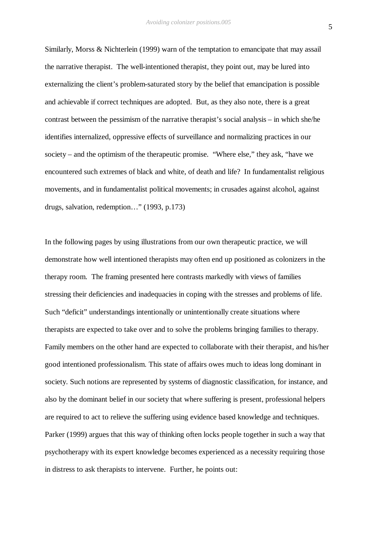Similarly, Morss & Nichterlein (1999) warn of the temptation to emancipate that may assail the narrative therapist. The well-intentioned therapist, they point out, may be lured into externalizing the client's problem-saturated story by the belief that emancipation is possible and achievable if correct techniques are adopted. But, as they also note, there is a great contrast between the pessimism of the narrative therapist's social analysis – in which she/he identifies internalized, oppressive effects of surveillance and normalizing practices in our society – and the optimism of the therapeutic promise. "Where else," they ask, "have we encountered such extremes of black and white, of death and life? In fundamentalist religious movements, and in fundamentalist political movements; in crusades against alcohol, against drugs, salvation, redemption…" (1993, p.173)

In the following pages by using illustrations from our own therapeutic practice, we will demonstrate how well intentioned therapists may often end up positioned as colonizers in the therapy room. The framing presented here contrasts markedly with views of families stressing their deficiencies and inadequacies in coping with the stresses and problems of life. Such "deficit" understandings intentionally or unintentionally create situations where therapists are expected to take over and to solve the problems bringing families to therapy. Family members on the other hand are expected to collaborate with their therapist, and his/her good intentioned professionalism. This state of affairs owes much to ideas long dominant in society. Such notions are represented by systems of diagnostic classification, for instance, and also by the dominant belief in our society that where suffering is present, professional helpers are required to act to relieve the suffering using evidence based knowledge and techniques. Parker (1999) argues that this way of thinking often locks people together in such a way that psychotherapy with its expert knowledge becomes experienced as a necessity requiring those in distress to ask therapists to intervene. Further, he points out: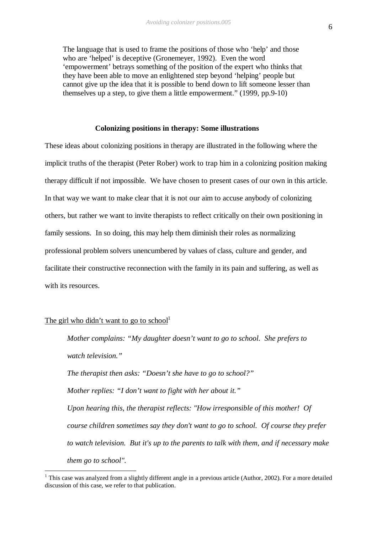The language that is used to frame the positions of those who 'help' and those who are 'helped' is deceptive (Gronemeyer, 1992). Even the word 'empowerment' betrays something of the position of the expert who thinks that they have been able to move an enlightened step beyond 'helping' people but cannot give up the idea that it is possible to bend down to lift someone lesser than themselves up a step, to give them a little empowerment." (1999, pp.9-10)

#### **Colonizing positions in therapy: Some illustrations**

These ideas about colonizing positions in therapy are illustrated in the following where the implicit truths of the therapist (Peter Rober) work to trap him in a colonizing position making therapy difficult if not impossible. We have chosen to present cases of our own in this article. In that way we want to make clear that it is not our aim to accuse anybody of colonizing others, but rather we want to invite therapists to reflect critically on their own positioning in family sessions. In so doing, this may help them diminish their roles as normalizing professional problem solvers unencumbered by values of class, culture and gender, and facilitate their constructive reconnection with the family in its pain and suffering, as well as with its resources.

## The girl who didn't want to go to school<sup>1</sup>

 $\overline{a}$ 

*Mother complains: "My daughter doesn't want to go to school. She prefers to watch television." The therapist then asks: "Doesn't she have to go to school?" Mother replies: "I don't want to fight with her about it." Upon hearing this, the therapist reflects: "How irresponsible of this mother! Of course children sometimes say they don't want to go to school. Of course they prefer to watch television. But it's up to the parents to talk with them, and if necessary make them go to school".*

 $1$  This case was analyzed from a slightly different angle in a previous article (Author, 2002). For a more detailed discussion of this case, we refer to that publication.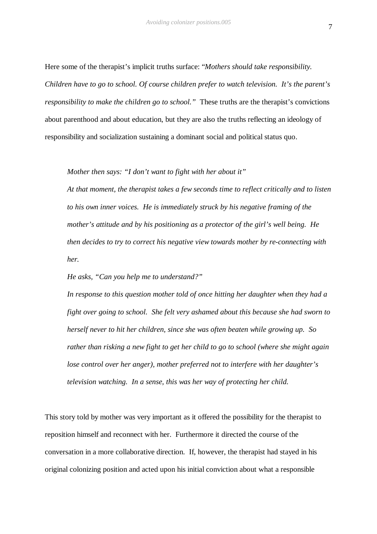Here some of the therapist's implicit truths surface: "*Mothers should take responsibility. Children have to go to school. Of course children prefer to watch television. It's the parent's responsibility to make the children go to school."* These truths are the therapist's convictions about parenthood and about education, but they are also the truths reflecting an ideology of responsibility and socialization sustaining a dominant social and political status quo.

*Mother then says: "I don't want to fight with her about it"*

*At that moment, the therapist takes a few seconds time to reflect critically and to listen to his own inner voices. He is immediately struck by his negative framing of the mother's attitude and by his positioning as a protector of the girl's well being. He then decides to try to correct his negative view towards mother by re-connecting with her.* 

*He asks, "Can you help me to understand?"*

*In response to this question mother told of once hitting her daughter when they had a fight over going to school. She felt very ashamed about this because she had sworn to herself never to hit her children, since she was often beaten while growing up. So rather than risking a new fight to get her child to go to school (where she might again lose control over her anger), mother preferred not to interfere with her daughter's television watching. In a sense, this was her way of protecting her child.*

This story told by mother was very important as it offered the possibility for the therapist to reposition himself and reconnect with her. Furthermore it directed the course of the conversation in a more collaborative direction. If, however, the therapist had stayed in his original colonizing position and acted upon his initial conviction about what a responsible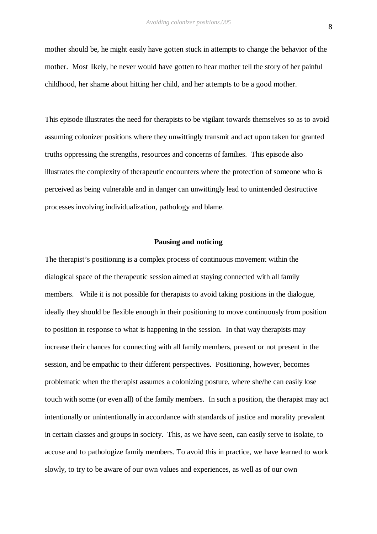mother should be, he might easily have gotten stuck in attempts to change the behavior of the mother. Most likely, he never would have gotten to hear mother tell the story of her painful childhood, her shame about hitting her child, and her attempts to be a good mother.

This episode illustrates the need for therapists to be vigilant towards themselves so as to avoid assuming colonizer positions where they unwittingly transmit and act upon taken for granted truths oppressing the strengths, resources and concerns of families. This episode also illustrates the complexity of therapeutic encounters where the protection of someone who is perceived as being vulnerable and in danger can unwittingly lead to unintended destructive processes involving individualization, pathology and blame.

#### **Pausing and noticing**

The therapist's positioning is a complex process of continuous movement within the dialogical space of the therapeutic session aimed at staying connected with all family members. While it is not possible for therapists to avoid taking positions in the dialogue, ideally they should be flexible enough in their positioning to move continuously from position to position in response to what is happening in the session. In that way therapists may increase their chances for connecting with all family members, present or not present in the session, and be empathic to their different perspectives. Positioning, however, becomes problematic when the therapist assumes a colonizing posture, where she/he can easily lose touch with some (or even all) of the family members. In such a position, the therapist may act intentionally or unintentionally in accordance with standards of justice and morality prevalent in certain classes and groups in society.This, as we have seen, can easily serve to isolate, to accuse and to pathologize family members. To avoid this in practice, we have learned to work slowly, to try to be aware of our own values and experiences, as well as of our own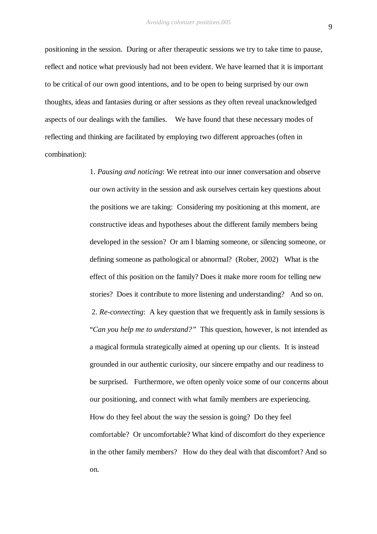positioning in the session. During or after therapeutic sessions we try to take time to pause, reflect and notice what previously had not been evident. We have learned that it is important to be critical of our own good intentions, and to be open to being surprised by our own thoughts, ideas and fantasies during or after sessions as they often reveal unacknowledged aspects of our dealings with the families. We have found that these necessary modes of reflecting and thinking are facilitated by employing two different approaches (often in combination):

> 1. *Pausing and noticing*: We retreat into our inner conversation and observe our own activity in the session and ask ourselves certain key questions about the positions we are taking: Considering my positioning at this moment, are constructive ideas and hypotheses about the different family members being developed in the session? Or am I blaming someone, or silencing someone, or defining someone as pathological or abnormal? (Rober, 2002) What is the effect of this position on the family? Does it make more room for telling new stories? Does it contribute to more listening and understanding? And so on. 2. *Re-connecting*: A key question that we frequently ask in family sessions is "*Can you help me to understand?"* This question, however, is not intended as a magical formula strategically aimed at opening up our clients. It is instead grounded in our authentic curiosity, our sincere empathy and our readiness to be surprised. Furthermore, we often openly voice some of our concerns about our positioning, and connect with what family members are experiencing. How do they feel about the way the session is going? Do they feel comfortable? Or uncomfortable? What kind of discomfort do they experience in the other family members? How do they deal with that discomfort? And so on.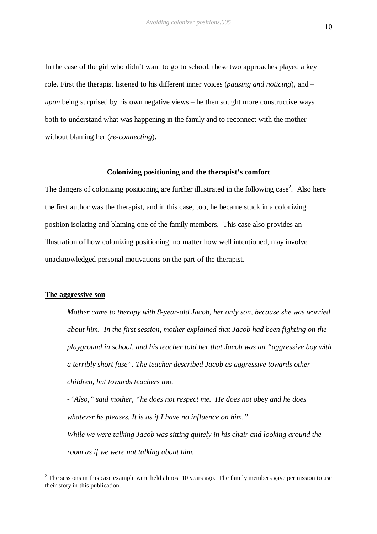In the case of the girl who didn't want to go to school, these two approaches played a key role. First the therapist listened to his different inner voices (*pausing and noticing*), and – *upon* being surprised by his own negative views – he then sought more constructive ways both to understand what was happening in the family and to reconnect with the mother without blaming her (*re-connecting*).

#### **Colonizing positioning and the therapist's comfort**

The dangers of colonizing positioning are further illustrated in the following case<sup>2</sup>. Also here the first author was the therapist, and in this case, too, he became stuck in a colonizing position isolating and blaming one of the family members. This case also provides an illustration of how colonizing positioning, no matter how well intentioned, may involve unacknowledged personal motivations on the part of the therapist.

### **The aggressive son**

 $\overline{a}$ 

*Mother came to therapy with 8-year-old Jacob, her only son, because she was worried about him. In the first session, mother explained that Jacob had been fighting on the playground in school, and his teacher told her that Jacob was an "aggressive boy with a terribly short fuse". The teacher described Jacob as aggressive towards other children, but towards teachers too.* 

*-"Also," said mother, "he does not respect me. He does not obey and he does whatever he pleases. It is as if I have no influence on him." While we were talking Jacob was sitting quitely in his chair and looking around the room as if we were not talking about him.* 

 $2^2$  The sessions in this case example were held almost 10 years ago. The family members gave permission to use their story in this publication.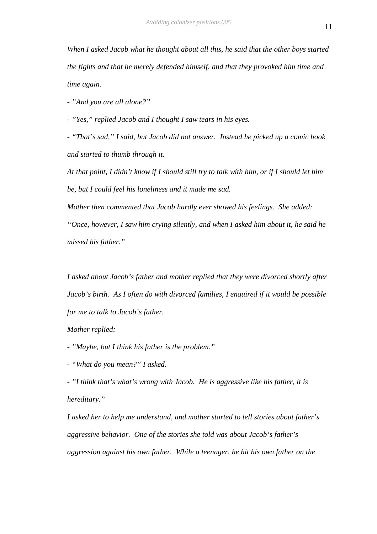*When I asked Jacob what he thought about all this, he said that the other boys started the fights and that he merely defended himself, and that they provoked him time and time again.*

*- "And you are all alone?"*

*- "Yes," replied Jacob and I thought I saw tears in his eyes.* 

*- "That's sad," I said, but Jacob did not answer. Instead he picked up a comic book and started to thumb through it.*

*At that point, I didn't know if I should still try to talk with him, or if I should let him be, but I could feel his loneliness and it made me sad.*

*Mother then commented that Jacob hardly ever showed his feelings. She added: "Once, however, I saw him crying silently, and when I asked him about it, he said he missed his father."*

*I asked about Jacob's father and mother replied that they were divorced shortly after Jacob's birth. As I often do with divorced families, I enquired if it would be possible for me to talk to Jacob's father.* 

*Mother replied:* 

*- "Maybe, but I think his father is the problem."*

*- "What do you mean?" I asked.*

*- "I think that's what's wrong with Jacob. He is aggressive like his father, it is hereditary."*

*I asked her to help me understand, and mother started to tell stories about father's aggressive behavior. One of the stories she told was about Jacob's father's aggression against his own father. While a teenager, he hit his own father on the*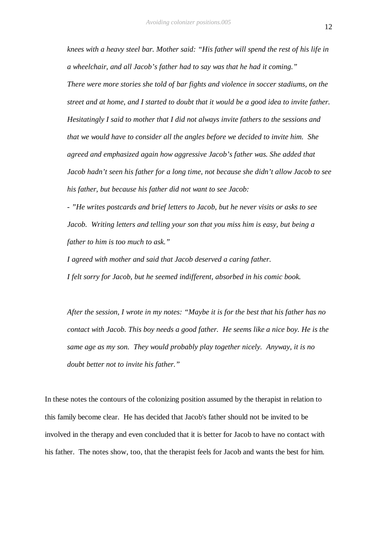*knees with a heavy steel bar. Mother said: "His father will spend the rest of his life in a wheelchair, and all Jacob's father had to say was that he had it coming." There were more stories she told of bar fights and violence in soccer stadiums, on the street and at home, and I started to doubt that it would be a good idea to invite father. Hesitatingly I said to mother that I did not always invite fathers to the sessions and that we would have to consider all the angles before we decided to invite him. She agreed and emphasized again how aggressive Jacob's father was. She added that Jacob hadn't seen his father for a long time, not because she didn't allow Jacob to see his father, but because his father did not want to see Jacob:* 

*- "He writes postcards and brief letters to Jacob, but he never visits or asks to see Jacob. Writing letters and telling your son that you miss him is easy, but being a father to him is too much to ask."*

*I agreed with mother and said that Jacob deserved a caring father. I felt sorry for Jacob, but he seemed indifferent, absorbed in his comic book.*

*After the session, I wrote in my notes: "Maybe it is for the best that his father has no contact with Jacob. This boy needs a good father. He seems like a nice boy. He is the same age as my son. They would probably play together nicely. Anyway, it is no doubt better not to invite his father."* 

In these notes the contours of the colonizing position assumed by the therapist in relation to this family become clear. He has decided that Jacob's father should not be invited to be involved in the therapy and even concluded that it is better for Jacob to have no contact with his father. The notes show, too, that the therapist feels for Jacob and wants the best for him.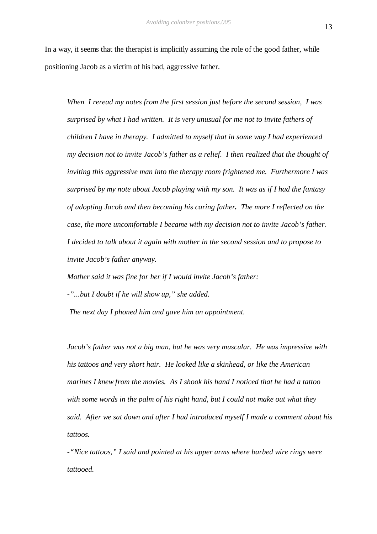In a way, it seems that the therapist is implicitly assuming the role of the good father, while positioning Jacob as a victim of his bad, aggressive father.

*When I reread my notes from the first session just before the second session, I was surprised by what I had written. It is very unusual for me not to invite fathers of children I have in therapy. I admitted to myself that in some way I had experienced my decision not to invite Jacob's father as a relief. I then realized that the thought of inviting this aggressive man into the therapy room frightened me. Furthermore I was surprised by my note about Jacob playing with my son. It was as if I had the fantasy of adopting Jacob and then becoming his caring father. The more I reflected on the case, the more uncomfortable I became with my decision not to invite Jacob's father. I decided to talk about it again with mother in the second session and to propose to invite Jacob's father anyway.* 

*Mother said it was fine for her if I would invite Jacob's father:*

*-"...but I doubt if he will show up," she added.*

 *The next day I phoned him and gave him an appointment.*

*Jacob's father was not a big man, but he was very muscular. He was impressive with his tattoos and very short hair. He looked like a skinhead, or like the American marines I knew from the movies. As I shook his hand I noticed that he had a tattoo with some words in the palm of his right hand, but I could not make out what they said. After we sat down and after I had introduced myself I made a comment about his tattoos.*

*-"Nice tattoos," I said and pointed at his upper arms where barbed wire rings were tattooed.*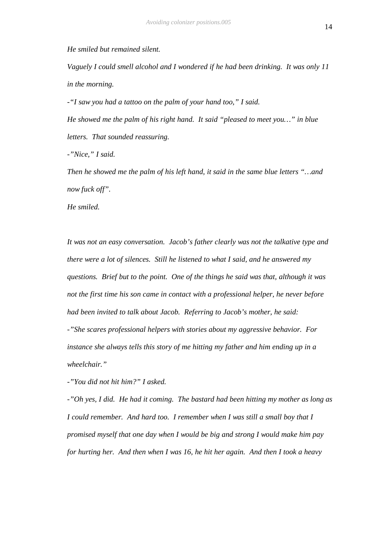*He smiled but remained silent.* 

*Vaguely I could smell alcohol and I wondered if he had been drinking. It was only 11 in the morning.*

*-"I saw you had a tattoo on the palm of your hand too," I said.*

*He showed me the palm of his right hand. It said "pleased to meet you…" in blue letters. That sounded reassuring.*

*-"Nice," I said.*

*Then he showed me the palm of his left hand, it said in the same blue letters "…and now fuck off".*

*He smiled.*

*It was not an easy conversation. Jacob's father clearly was not the talkative type and there were a lot of silences. Still he listened to what I said, and he answered my questions. Brief but to the point. One of the things he said was that, although it was not the first time his son came in contact with a professional helper, he never before had been invited to talk about Jacob. Referring to Jacob's mother, he said: -"She scares professional helpers with stories about my aggressive behavior. For instance she always tells this story of me hitting my father and him ending up in a wheelchair."*

*-"You did not hit him?" I asked.*

*-"Oh yes, I did. He had it coming. The bastard had been hitting my mother as long as I could remember. And hard too. I remember when I was still a small boy that I promised myself that one day when I would be big and strong I would make him pay for hurting her. And then when I was 16, he hit her again. And then I took a heavy*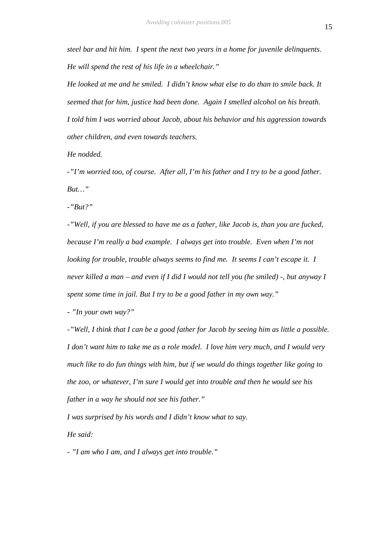*steel bar and hit him. I spent the next two years in a home for juvenile delinquents. He will spend the rest of his life in a wheelchair."*

*He looked at me and he smiled. I didn't know what else to do than to smile back. It seemed that for him, justice had been done. Again I smelled alcohol on his breath. I told him I was worried about Jacob, about his behavior and his aggression towards other children, and even towards teachers.*

*He nodded.*

*-"I'm worried too, of course. After all, I'm his father and I try to be a good father. But…"*

*-"But?"*

*-"Well, if you are blessed to have me as a father, like Jacob is, than you are fucked, because I'm really a bad example. I always get into trouble. Even when I'm not looking for trouble, trouble always seems to find me. It seems I can't escape it. I never killed a man – and even if I did I would not tell you (he smiled) -, but anyway I spent some time in jail. But I try to be a good father in my own way."*

*- "In your own way?"*

*-"Well, I think that I can be a good father for Jacob by seeing him as little a possible. I don't want him to take me as a role model. I love him very much, and I would very much like to do fun things with him, but if we would do things together like going to the zoo, or whatever, I'm sure I would get into trouble and then he would see his father in a way he should not see his father."*

*I was surprised by his words and I didn't know what to say. He said:*

*- "I am who I am, and I always get into trouble."*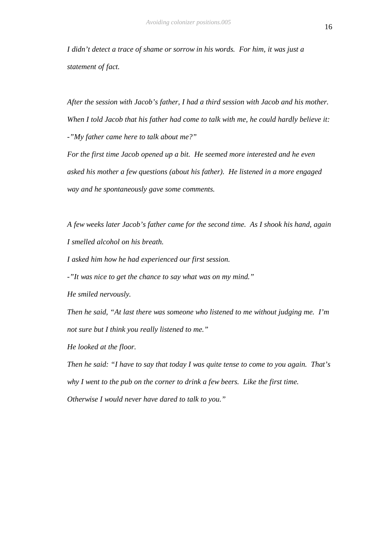*I didn't detect a trace of shame or sorrow in his words. For him, it was just a statement of fact.*

*After the session with Jacob's father, I had a third session with Jacob and his mother. When I told Jacob that his father had come to talk with me, he could hardly believe it: -"My father came here to talk about me?"*

*For the first time Jacob opened up a bit. He seemed more interested and he even asked his mother a few questions (about his father). He listened in a more engaged way and he spontaneously gave some comments.* 

*A few weeks later Jacob's father came for the second time. As I shook his hand, again I smelled alcohol on his breath.* 

*I asked him how he had experienced our first session.*

*-"It was nice to get the chance to say what was on my mind."*

*He smiled nervously.* 

*Then he said, "At last there was someone who listened to me without judging me. I'm not sure but I think you really listened to me."* 

*He looked at the floor.* 

*Then he said: "I have to say that today I was quite tense to come to you again. That's why I went to the pub on the corner to drink a few beers. Like the first time. Otherwise I would never have dared to talk to you."*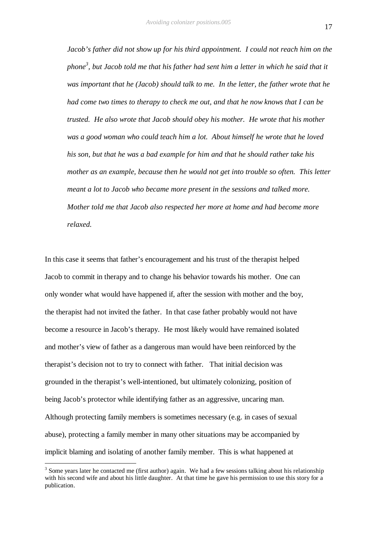*Jacob's father did not show up for his third appointment. I could not reach him on the phone<sup>3</sup> , but Jacob told me that his father had sent him a letter in which he said that it was important that he (Jacob) should talk to me. In the letter, the father wrote that he had come two times to therapy to check me out, and that he now knows that I can be trusted. He also wrote that Jacob should obey his mother. He wrote that his mother was a good woman who could teach him a lot. About himself he wrote that he loved his son, but that he was a bad example for him and that he should rather take his mother as an example, because then he would not get into trouble so often. This letter meant a lot to Jacob who became more present in the sessions and talked more. Mother told me that Jacob also respected her more at home and had become more relaxed.* 

In this case it seems that father's encouragement and his trust of the therapist helped Jacob to commit in therapy and to change his behavior towards his mother. One can only wonder what would have happened if, after the session with mother and the boy, the therapist had not invited the father. In that case father probably would not have become a resource in Jacob's therapy. He most likely would have remained isolated and mother's view of father as a dangerous man would have been reinforced by the therapist's decision not to try to connect with father. That initial decision was grounded in the therapist's well-intentioned, but ultimately colonizing, position of being Jacob's protector while identifying father as an aggressive, uncaring man. Although protecting family members is sometimes necessary (e.g. in cases of sexual abuse), protecting a family member in many other situations may be accompanied by implicit blaming and isolating of another family member. This is what happened at

 $\overline{a}$ 

 $3$  Some years later he contacted me (first author) again. We had a few sessions talking about his relationship with his second wife and about his little daughter. At that time he gave his permission to use this story for a publication.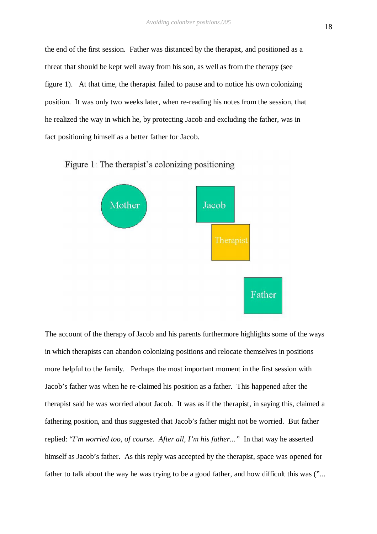the end of the first session. Father was distanced by the therapist, and positioned as a threat that should be kept well away from his son, as well as from the therapy (see figure 1). At that time, the therapist failed to pause and to notice his own colonizing position. It was only two weeks later, when re-reading his notes from the session, that he realized the way in which he, by protecting Jacob and excluding the father, was in fact positioning himself as a better father for Jacob.





The account of the therapy of Jacob and his parents furthermore highlights some of the ways in which therapists can abandon colonizing positions and relocate themselves in positions more helpful to the family. Perhaps the most important moment in the first session with Jacob's father was when he re-claimed his position as a father. This happened after the therapist said he was worried about Jacob. It was as if the therapist, in saying this, claimed a fathering position, and thus suggested that Jacob's father might not be worried. But father replied: "*I'm worried too, of course. After all, I'm his father..."* In that way he asserted himself as Jacob's father. As this reply was accepted by the therapist, space was opened for father to talk about the way he was trying to be a good father, and how difficult this was ("...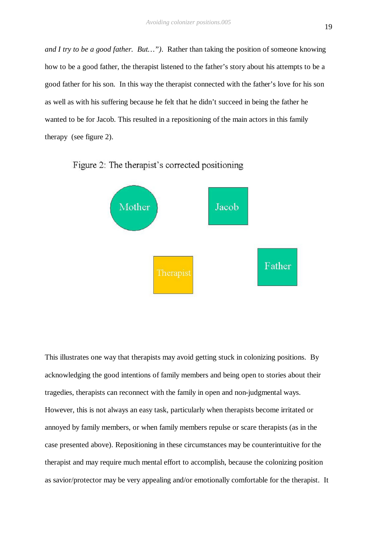*and I try to be a good father. But…")*. Rather than taking the position of someone knowing how to be a good father, the therapist listened to the father's story about his attempts to be a good father for his son. In this way the therapist connected with the father's love for his son as well as with his suffering because he felt that he didn't succeed in being the father he wanted to be for Jacob. This resulted in a repositioning of the main actors in this family therapy (see figure 2).



Figure 2: The therapist's corrected positioning

This illustrates one way that therapists may avoid getting stuck in colonizing positions. By acknowledging the good intentions of family members and being open to stories about their tragedies, therapists can reconnect with the family in open and non-judgmental ways. However, this is not always an easy task, particularly when therapists become irritated or annoyed by family members, or when family members repulse or scare therapists (as in the case presented above). Repositioning in these circumstances may be counterintuitive for the therapist and may require much mental effort to accomplish, because the colonizing position as savior/protector may be very appealing and/or emotionally comfortable for the therapist. It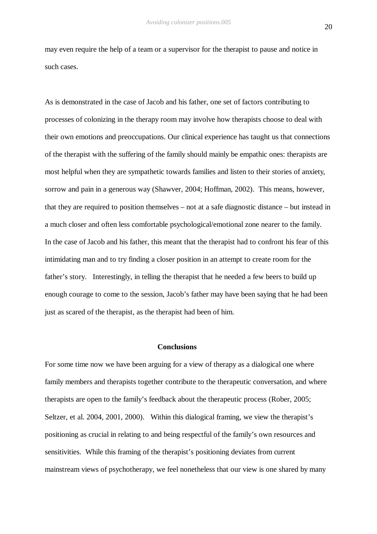may even require the help of a team or a supervisor for the therapist to pause and notice in such cases.

As is demonstrated in the case of Jacob and his father, one set of factors contributing to processes of colonizing in the therapy room may involve how therapists choose to deal with their own emotions and preoccupations. Our clinical experience has taught us that connections of the therapist with the suffering of the family should mainly be empathic ones: therapists are most helpful when they are sympathetic towards families and listen to their stories of anxiety, sorrow and pain in a generous way (Shawver, 2004; Hoffman, 2002). This means, however, that they are required to position themselves – not at a safe diagnostic distance – but instead in a much closer and often less comfortable psychological/emotional zone nearer to the family. In the case of Jacob and his father, this meant that the therapist had to confront his fear of this intimidating man and to try finding a closer position in an attempt to create room for the father's story. Interestingly, in telling the therapist that he needed a few beers to build up enough courage to come to the session, Jacob's father may have been saying that he had been just as scared of the therapist, as the therapist had been of him.

#### **Conclusions**

For some time now we have been arguing for a view of therapy as a dialogical one where family members and therapists together contribute to the therapeutic conversation, and where therapists are open to the family's feedback about the therapeutic process (Rober, 2005; Seltzer, et al. 2004, 2001, 2000). Within this dialogical framing, we view the therapist's positioning as crucial in relating to and being respectful of the family's own resources and sensitivities. While this framing of the therapist's positioning deviates from current mainstream views of psychotherapy, we feel nonetheless that our view is one shared by many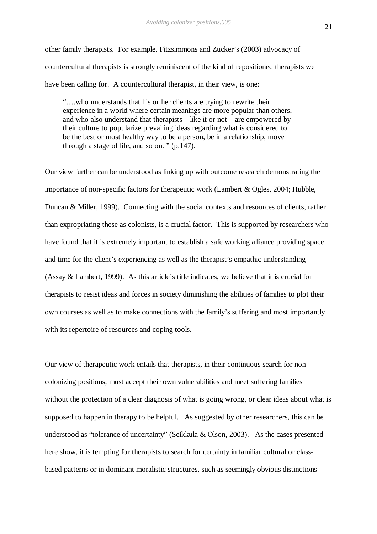other family therapists. For example, Fitzsimmons and Zucker's (2003) advocacy of countercultural therapists is strongly reminiscent of the kind of repositioned therapists we have been calling for. A countercultural therapist, in their view, is one:

"….who understands that his or her clients are trying to rewrite their experience in a world where certain meanings are more popular than others, and who also understand that therapists  $-$  like it or not  $-$  are empowered by their culture to popularize prevailing ideas regarding what is considered to be the best or most healthy way to be a person, be in a relationship, move through a stage of life, and so on. " (p.147).

Our view further can be understood as linking up with outcome research demonstrating the importance of non-specific factors for therapeutic work (Lambert & Ogles, 2004; Hubble, Duncan & Miller, 1999). Connecting with the social contexts and resources of clients, rather than expropriating these as colonists, is a crucial factor. This is supported by researchers who have found that it is extremely important to establish a safe working alliance providing space and time for the client's experiencing as well as the therapist's empathic understanding (Assay & Lambert, 1999). As this article's title indicates, we believe that it is crucial for therapists to resist ideas and forces in society diminishing the abilities of families to plot their own courses as well as to make connections with the family's suffering and most importantly with its repertoire of resources and coping tools.

Our view of therapeutic work entails that therapists, in their continuous search for noncolonizing positions, must accept their own vulnerabilities and meet suffering families without the protection of a clear diagnosis of what is going wrong, or clear ideas about what is supposed to happen in therapy to be helpful. As suggested by other researchers, this can be understood as "tolerance of uncertainty" (Seikkula & Olson, 2003). As the cases presented here show, it is tempting for therapists to search for certainty in familiar cultural or classbased patterns or in dominant moralistic structures, such as seemingly obvious distinctions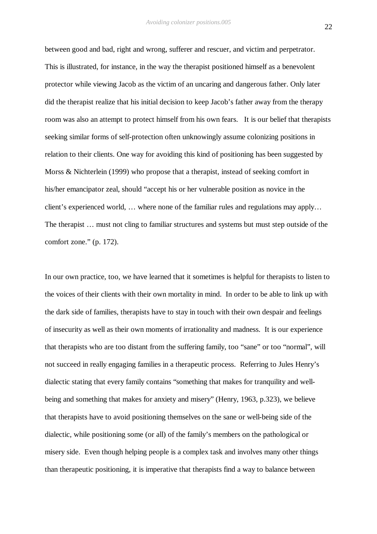between good and bad, right and wrong, sufferer and rescuer, and victim and perpetrator. This is illustrated, for instance, in the way the therapist positioned himself as a benevolent protector while viewing Jacob as the victim of an uncaring and dangerous father. Only later did the therapist realize that his initial decision to keep Jacob's father away from the therapy room was also an attempt to protect himself from his own fears. It is our belief that therapists seeking similar forms of self-protection often unknowingly assume colonizing positions in relation to their clients. One way for avoiding this kind of positioning has been suggested by Morss & Nichterlein (1999) who propose that a therapist, instead of seeking comfort in his/her emancipator zeal, should "accept his or her vulnerable position as novice in the client's experienced world, … where none of the familiar rules and regulations may apply… The therapist … must not cling to familiar structures and systems but must step outside of the comfort zone." (p. 172).

In our own practice, too, we have learned that it sometimes is helpful for therapists to listen to the voices of their clients with their own mortality in mind. In order to be able to link up with the dark side of families, therapists have to stay in touch with their own despair and feelings of insecurity as well as their own moments of irrationality and madness. It is our experience that therapists who are too distant from the suffering family, too "sane" or too "normal", will not succeed in really engaging families in a therapeutic process. Referring to Jules Henry's dialectic stating that every family contains "something that makes for tranquility and wellbeing and something that makes for anxiety and misery" (Henry, 1963, p.323), we believe that therapists have to avoid positioning themselves on the sane or well-being side of the dialectic, while positioning some (or all) of the family's members on the pathological or misery side. Even though helping people is a complex task and involves many other things than therapeutic positioning, it is imperative that therapists find a way to balance between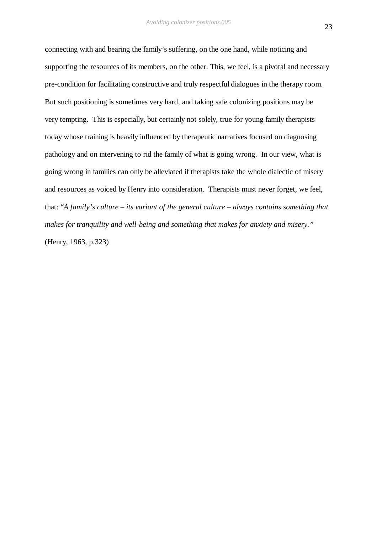connecting with and bearing the family's suffering, on the one hand, while noticing and supporting the resources of its members, on the other. This, we feel, is a pivotal and necessary pre-condition for facilitating constructive and truly respectful dialogues in the therapy room. But such positioning is sometimes very hard, and taking safe colonizing positions may be very tempting. This is especially, but certainly not solely, true for young family therapists today whose training is heavily influenced by therapeutic narratives focused on diagnosing pathology and on intervening to rid the family of what is going wrong. In our view, what is going wrong in families can only be alleviated if therapists take the whole dialectic of misery and resources as voiced by Henry into consideration. Therapists must never forget, we feel, that: "*A family's culture – its variant of the general culture – always contains something that makes for tranquility and well-being and something that makes for anxiety and misery."*  (Henry, 1963, p.323)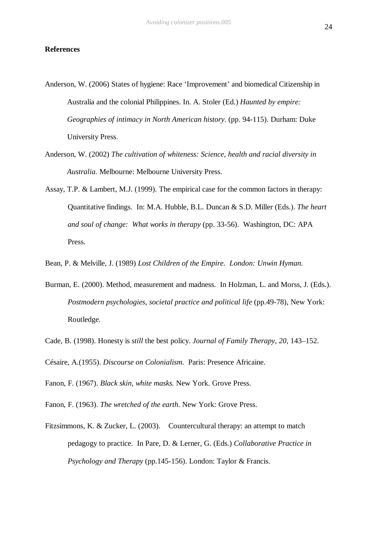#### **References**

- Anderson, W. (2006) States of hygiene: Race 'Improvement' and biomedical Citizenship in Australia and the colonial Philippines. In. A. Stoler (Ed.) *Haunted by empire: Geographies of intimacy in North American history.* (pp. 94-115). Durham: Duke University Press.
- Anderson, W. (2002) *The cultivation of whiteness: Science, health and racial diversity in Australia.* Melbourne: Melbourne University Press.
- Assay, T.P. & Lambert, M.J. (1999). The empirical case for the common factors in therapy: Quantitative findings. In: M.A. Hubble, B.L. Duncan & S.D. Miller (Eds.). *The heart and soul of change: What works in therapy* (pp. 33-56). Washington, DC: APA Press.
- Bean, P. & Melville, J. (1989) *Lost Children of the Empire. London: Unwin Hyman.*
- Burman, E. (2000). Method, measurement and madness. In Holzman, L. and Morss, J. (Eds.). *Postmodern psychologies, societal practice and political life* (pp.49-78), New York: Routledge.
- Cade, B. (1998). Honesty is *still* the best policy. *Journal of Family Therapy, 20*, 143–152.

Césaire, A.(1955). *Discourse on Colonialism.* Paris: Presence Africaine.

- Fanon, F. (1967). *Black skin, white masks.* New York. Grove Press.
- Fanon, F. (1963). *The wretched of the earth*. New York: Grove Press.
- Fitzsimmons, K. & Zucker, L. (2003). Countercultural therapy: an attempt to match pedagogy to practice. In Pare, D. & Lerner, G. (Eds.) *Collaborative Practice in Psychology and Therapy* (pp.145-156). London: Taylor & Francis.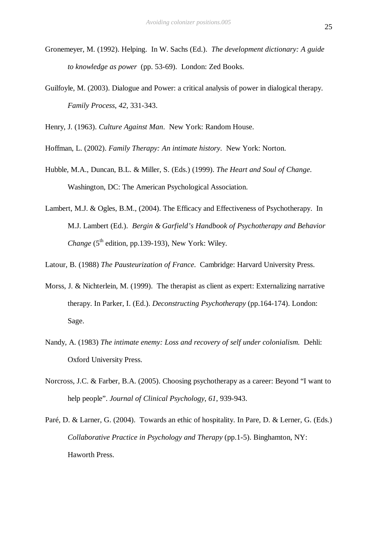- Gronemeyer, M. (1992). Helping. In W. Sachs (Ed.). *The development dictionary: A guide to knowledge as power* (pp. 53-69). London: Zed Books.
- Guilfoyle, M. (2003). Dialogue and Power: a critical analysis of power in dialogical therapy. *Family Process*, *42*, 331-343.

Henry, J. (1963). *Culture Against Man*. New York: Random House.

Hoffman, L. (2002). *Family Therapy: An intimate history*. New York: Norton.

- Hubble, M.A., Duncan, B.L. & Miller, S. (Eds.) (1999). *The Heart and Soul of Change*. Washington, DC: The American Psychological Association.
- Lambert, M.J. & Ogles, B.M., (2004). The Efficacy and Effectiveness of Psychotherapy. In M.J. Lambert (Ed.). *Bergin & Garfield's Handbook of Psychotherapy and Behavior Change* ( $5<sup>th</sup>$  edition, pp.139-193), New York: Wiley.

Latour, B. (1988) *The Pausteurization of France*. Cambridge: Harvard University Press.

- Morss, J. & Nichterlein, M. (1999). The therapist as client as expert: Externalizing narrative therapy. In Parker, I. (Ed.). *Deconstructing Psychotherapy* (pp.164-174). London: Sage.
- Nandy, A. (1983) *The intimate enemy: Loss and recovery of self under colonialism.* Dehli: Oxford University Press.
- Norcross, J.C. & Farber, B.A. (2005). Choosing psychotherapy as a career: Beyond "I want to help people". *Journal of Clinical Psychology*, *61*, 939-943.
- Paré, D. & Larner, G. (2004). Towards an ethic of hospitality. In Pare, D. & Lerner, G. (Eds.) *Collaborative Practice in Psychology and Therapy (pp.1-5). Binghamton, NY:* Haworth Press.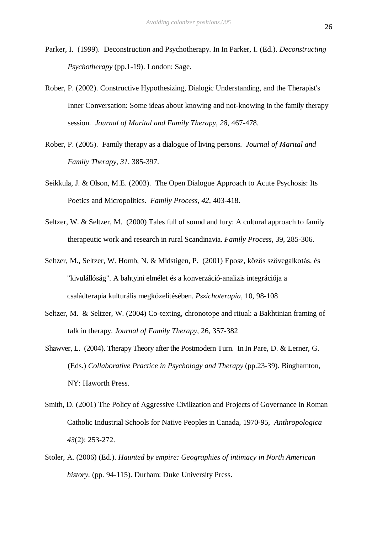- Parker, I. (1999). Deconstruction and Psychotherapy. In In Parker, I. (Ed.). *Deconstructing Psychotherapy* (pp.1-19). London: Sage.
- Rober, P. (2002). Constructive Hypothesizing, Dialogic Understanding, and the Therapist's Inner Conversation: Some ideas about knowing and not-knowing in the family therapy session. *Journal of Marital and Family Therapy*, *28*, 467-478.
- Rober, P. (2005). Family therapy as a dialogue of living persons. *Journal of Marital and Family Therapy*, *31*, 385-397.
- Seikkula, J. & Olson, M.E. (2003). The Open Dialogue Approach to Acute Psychosis: Its Poetics and Micropolitics. *Family Process*, *42*, 403-418.
- Seltzer, W. & Seltzer, M. (2000) Tales full of sound and fury: A cultural approach to family therapeutic work and research in rural Scandinavia. *Family Process,* 39, 285-306.
- Seltzer, M., Seltzer, W. Homb, N. & Midstigen, P. (2001) Eposz, közös szövegalkotás, és "kivulállóság". A bahtyini elmélet és a konverzáció-analizis integrációja a családterapia kulturális megközelitésében. *Pszichoterapia,* 10, 98-108
- Seltzer, M. & Seltzer, W. (2004) Co-texting, chronotope and ritual: a Bakhtinian framing of talk in therapy. *Journal of Family Therapy,* 26, 357-382
- Shawver, L. (2004). Therapy Theory after the Postmodern Turn. In In Pare, D. & Lerner, G. (Eds.) *Collaborative Practice in Psychology and Therapy* (pp.23-39). Binghamton, NY: Haworth Press.
- Smith, D. (2001) The Policy of Aggressive Civilization and Projects of Governance in Roman Catholic Industrial Schools for Native Peoples in Canada, 1970-95, *Anthropologica 43*(2): 253-272.
- Stoler, A. (2006) (Ed.). *Haunted by empire: Geographies of intimacy in North American history.* (pp. 94-115). Durham: Duke University Press.